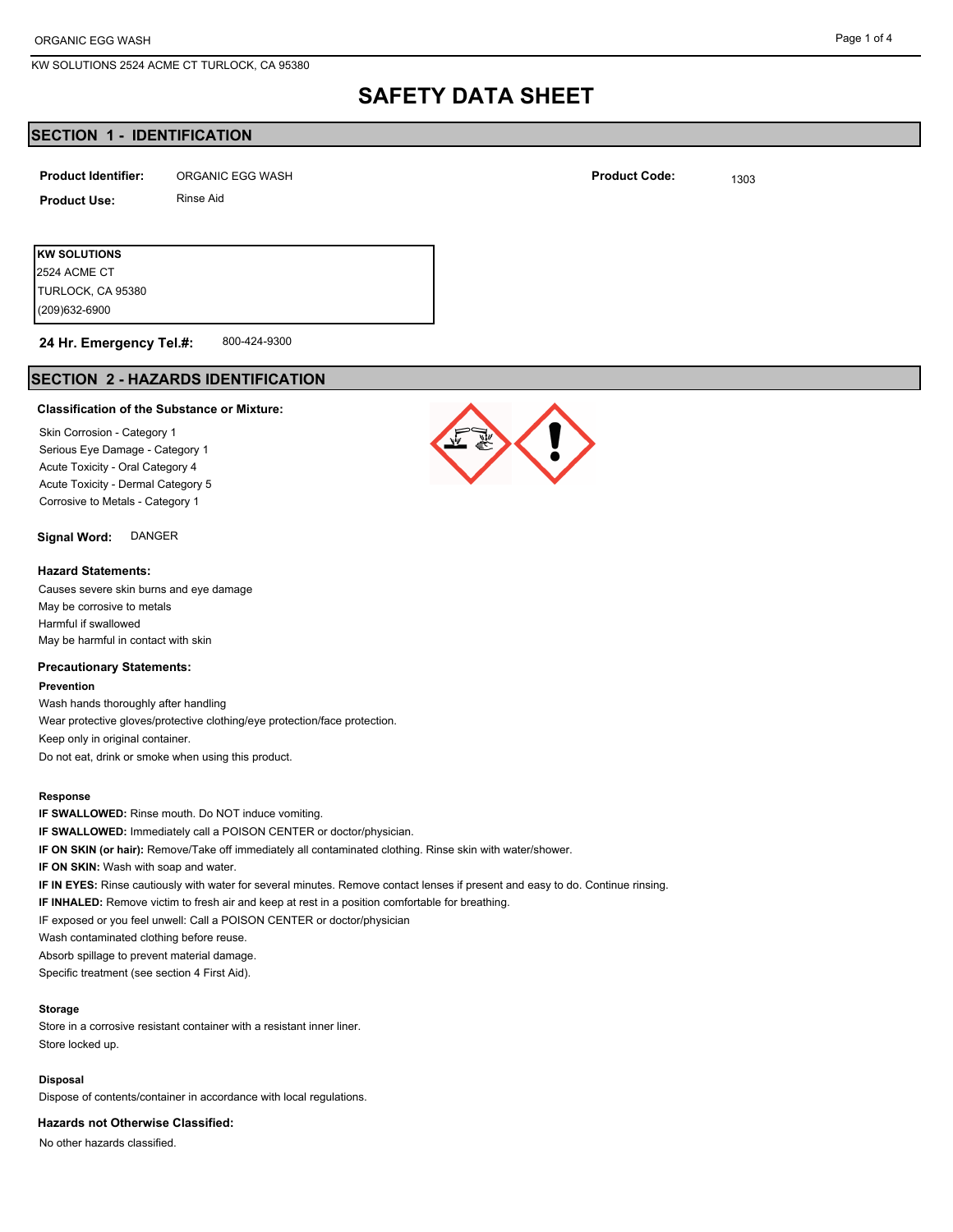# **SAFETY DATA SHEET**

## **SECTION 1 - IDENTIFICATION**

| <b>Product Identifier:</b> | ORGANIC EGG WASH | <b>Product Code:</b> | 1303 |
|----------------------------|------------------|----------------------|------|
| <b>Product Use:</b>        | Rinse Aid        |                      |      |

**KW SOLUTIONS** (209)632-6900 TURLOCK, CA 95380 2524 ACME CT

#### 800-424-9300 **24 Hr. Emergency Tel.#:**

# **SECTION 2 - HAZARDS IDENTIFICATION**

### **Classification of the Substance or Mixture:**

Skin Corrosion - Category 1 Serious Eye Damage - Category 1 Acute Toxicity - Oral Category 4 Acute Toxicity - Dermal Category 5 Corrosive to Metals - Category 1

**Signal Word:** DANGER

### **Hazard Statements:**

Causes severe skin burns and eye damage May be corrosive to metals Harmful if swallowed May be harmful in contact with skin

### **Precautionary Statements:**

**Prevention**

Wash hands thoroughly after handling Wear protective gloves/protective clothing/eye protection/face protection. Keep only in original container. Do not eat, drink or smoke when using this product.

### **Response**

**IF SWALLOWED:** Rinse mouth. Do NOT induce vomiting. **IF SWALLOWED:** Immediately call a POISON CENTER or doctor/physician. **IF ON SKIN (or hair):** Remove/Take off immediately all contaminated clothing. Rinse skin with water/shower. **IF ON SKIN:** Wash with soap and water. **IF IN EYES:** Rinse cautiously with water for several minutes. Remove contact lenses if present and easy to do. Continue rinsing. **IF INHALED:** Remove victim to fresh air and keep at rest in a position comfortable for breathing. IF exposed or you feel unwell: Call a POISON CENTER or doctor/physician Wash contaminated clothing before reuse. Absorb spillage to prevent material damage. Specific treatment (see section 4 First Aid).

### **Storage**

Store in a corrosive resistant container with a resistant inner liner. Store locked up.

#### **Disposal**

Dispose of contents/container in accordance with local regulations.

**Hazards not Otherwise Classified:**

No other hazards classified.

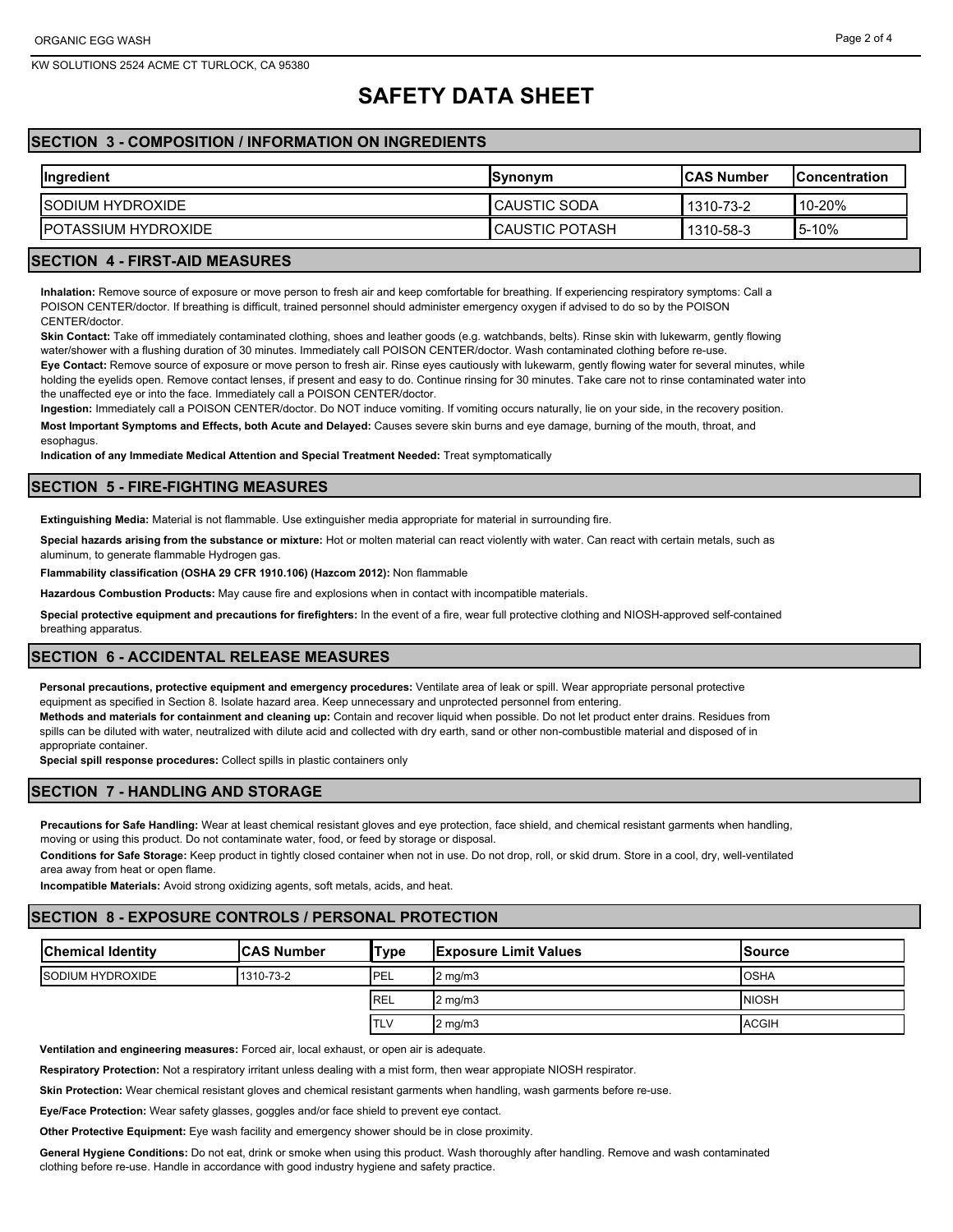# **SAFETY DATA SHEET**

## **SECTION 3 - COMPOSITION / INFORMATION ON INGREDIENTS**

| Ingredient                  | <b>Synonym</b>        | <b>ICAS Number</b> | <b>IConcentration</b> |
|-----------------------------|-----------------------|--------------------|-----------------------|
| <b>ISODIUM HYDROXIDE</b>    | <b>I</b> CAUSTIC SODA | 1310-73-2          | $10-20\%$             |
| <b>IPOTASSIUM HYDROXIDE</b> | I CAUSTIC POTASH      | 1310-58-3          | 5-10%                 |

### **SECTION 4 - FIRST-AID MEASURES**

**Inhalation:** Remove source of exposure or move person to fresh air and keep comfortable for breathing. If experiencing respiratory symptoms: Call a POISON CENTER/doctor. If breathing is difficult, trained personnel should administer emergency oxygen if advised to do so by the POISON CENTER/doctor.

**Skin Contact:** Take off immediately contaminated clothing, shoes and leather goods (e.g. watchbands, belts). Rinse skin with lukewarm, gently flowing water/shower with a flushing duration of 30 minutes. Immediately call POISON CENTER/doctor. Wash contaminated clothing before re-use.

**Eye Contact:** Remove source of exposure or move person to fresh air. Rinse eyes cautiously with lukewarm, gently flowing water for several minutes, while holding the eyelids open. Remove contact lenses, if present and easy to do. Continue rinsing for 30 minutes. Take care not to rinse contaminated water into the unaffected eye or into the face. Immediately call a POISON CENTER/doctor.

**Ingestion:** Immediately call a POISON CENTER/doctor. Do NOT induce vomiting. If vomiting occurs naturally, lie on your side, in the recovery position. **Most Important Symptoms and Effects, both Acute and Delayed:** Causes severe skin burns and eye damage, burning of the mouth, throat, and esophagus.

**Indication of any Immediate Medical Attention and Special Treatment Needed:** Treat symptomatically

### **SECTION 5 - FIRE-FIGHTING MEASURES**

**Extinguishing Media:** Material is not flammable. Use extinguisher media appropriate for material in surrounding fire.

**Special hazards arising from the substance or mixture:** Hot or molten material can react violently with water. Can react with certain metals, such as aluminum, to generate flammable Hydrogen gas.

**Flammability classification (OSHA 29 CFR 1910.106) (Hazcom 2012):** Non flammable

**Hazardous Combustion Products:** May cause fire and explosions when in contact with incompatible materials.

**Special protective equipment and precautions for firefighters:** In the event of a fire, wear full protective clothing and NIOSH-approved self-contained breathing apparatus.

### **SECTION 6 - ACCIDENTAL RELEASE MEASURES**

**Personal precautions, protective equipment and emergency procedures:** Ventilate area of leak or spill. Wear appropriate personal protective equipment as specified in Section 8. Isolate hazard area. Keep unnecessary and unprotected personnel from entering.

**Methods and materials for containment and cleaning up:** Contain and recover liquid when possible. Do not let product enter drains. Residues from spills can be diluted with water, neutralized with dilute acid and collected with dry earth, sand or other non-combustible material and disposed of in appropriate container.

**Special spill response procedures:** Collect spills in plastic containers only

## **SECTION 7 - HANDLING AND STORAGE**

**Precautions for Safe Handling:** Wear at least chemical resistant gloves and eye protection, face shield, and chemical resistant garments when handling, moving or using this product. Do not contaminate water, food, or feed by storage or disposal.

**Conditions for Safe Storage:** Keep product in tightly closed container when not in use. Do not drop, roll, or skid drum. Store in a cool, dry, well-ventilated area away from heat or open flame.

**Incompatible Materials:** Avoid strong oxidizing agents, soft metals, acids, and heat.

# **SECTION 8 - EXPOSURE CONTROLS / PERSONAL PROTECTION**

| <b>Chemical Identity</b> | <b>ICAS Number</b> | <b>Type</b> | <b>Exposure Limit Values</b> | lSource       |
|--------------------------|--------------------|-------------|------------------------------|---------------|
| <b>ISODIUM HYDROXIDE</b> | 1310-73-2          | PEL         | $2 \text{ mg/m}$             | <b>IOSHA</b>  |
|                          |                    | <b>IREL</b> | $2 \text{ mg/m}$             | <b>INIOSH</b> |
|                          |                    | <b>ITLV</b> | $2 \text{ mg/m}$             | <b>ACGIH</b>  |

**Ventilation and engineering measures:** Forced air, local exhaust, or open air is adequate.

**Respiratory Protection:** Not a respiratory irritant unless dealing with a mist form, then wear appropiate NIOSH respirator.

**Skin Protection:** Wear chemical resistant gloves and chemical resistant garments when handling, wash garments before re-use.

**Eye/Face Protection:** Wear safety glasses, goggles and/or face shield to prevent eye contact.

**Other Protective Equipment:** Eye wash facility and emergency shower should be in close proximity.

**General Hygiene Conditions:** Do not eat, drink or smoke when using this product. Wash thoroughly after handling. Remove and wash contaminated clothing before re-use. Handle in accordance with good industry hygiene and safety practice.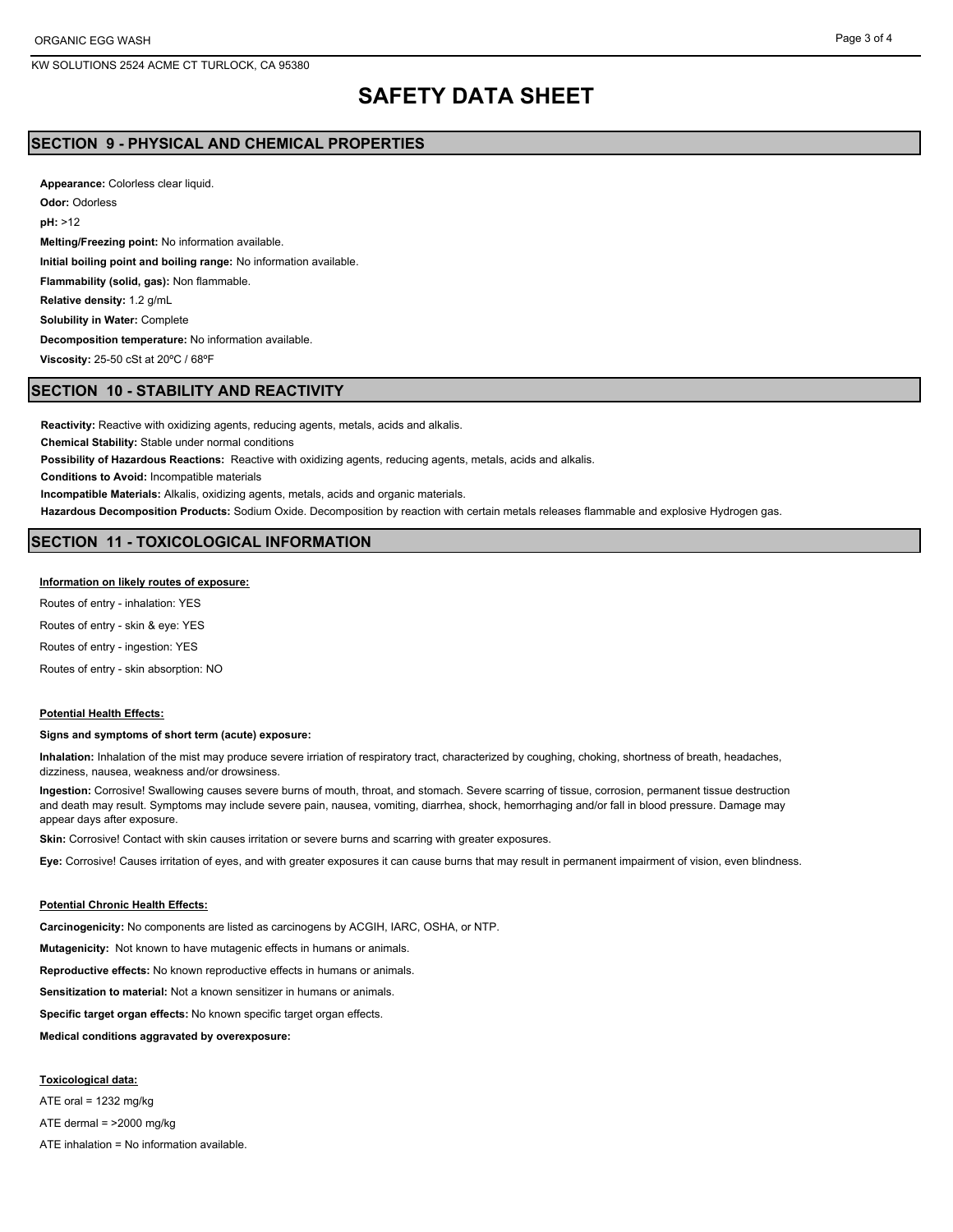# **SAFETY DATA SHEET**

## **SECTION 9 - PHYSICAL AND CHEMICAL PROPERTIES**

**Appearance:** Colorless clear liquid. **Odor:** Odorless **pH:** >12 **Melting/Freezing point:** No information available. **Initial boiling point and boiling range:** No information available. **Flammability (solid, gas):** Non flammable. **Relative density:** 1.2 g/mL **Solubility in Water:** Complete **Decomposition temperature:** No information available. **Viscosity:** 25-50 cSt at 20ºC / 68ºF

### **SECTION 10 - STABILITY AND REACTIVITY**

**Reactivity:** Reactive with oxidizing agents, reducing agents, metals, acids and alkalis.

**Chemical Stability:** Stable under normal conditions

**Possibility of Hazardous Reactions:** Reactive with oxidizing agents, reducing agents, metals, acids and alkalis.

**Conditions to Avoid:** Incompatible materials

**Incompatible Materials:** Alkalis, oxidizing agents, metals, acids and organic materials.

**Hazardous Decomposition Products:** Sodium Oxide. Decomposition by reaction with certain metals releases flammable and explosive Hydrogen gas.

### **SECTION 11 - TOXICOLOGICAL INFORMATION**

#### **Information on likely routes of exposure:**

Routes of entry - inhalation: YES Routes of entry - skin & eye: YES Routes of entry - ingestion: YES Routes of entry - skin absorption: NO

#### **Potential Health Effects:**

### **Signs and symptoms of short term (acute) exposure:**

**Inhalation:** Inhalation of the mist may produce severe irriation of respiratory tract, characterized by coughing, choking, shortness of breath, headaches, dizziness, nausea, weakness and/or drowsiness.

**Ingestion:** Corrosive! Swallowing causes severe burns of mouth, throat, and stomach. Severe scarring of tissue, corrosion, permanent tissue destruction and death may result. Symptoms may include severe pain, nausea, vomiting, diarrhea, shock, hemorrhaging and/or fall in blood pressure. Damage may appear days after exposure.

**Skin:** Corrosive! Contact with skin causes irritation or severe burns and scarring with greater exposures.

**Eye:** Corrosive! Causes irritation of eyes, and with greater exposures it can cause burns that may result in permanent impairment of vision, even blindness.

### **Potential Chronic Health Effects:**

**Carcinogenicity:** No components are listed as carcinogens by ACGIH, IARC, OSHA, or NTP.

**Mutagenicity:** Not known to have mutagenic effects in humans or animals.

**Reproductive effects:** No known reproductive effects in humans or animals.

**Sensitization to material:** Not a known sensitizer in humans or animals.

**Specific target organ effects:** No known specific target organ effects.

**Medical conditions aggravated by overexposure:**

**Toxicological data:** ATE oral =  $1232$  mg/kg

ATE dermal = >2000 mg/kg

ATE inhalation = No information available.